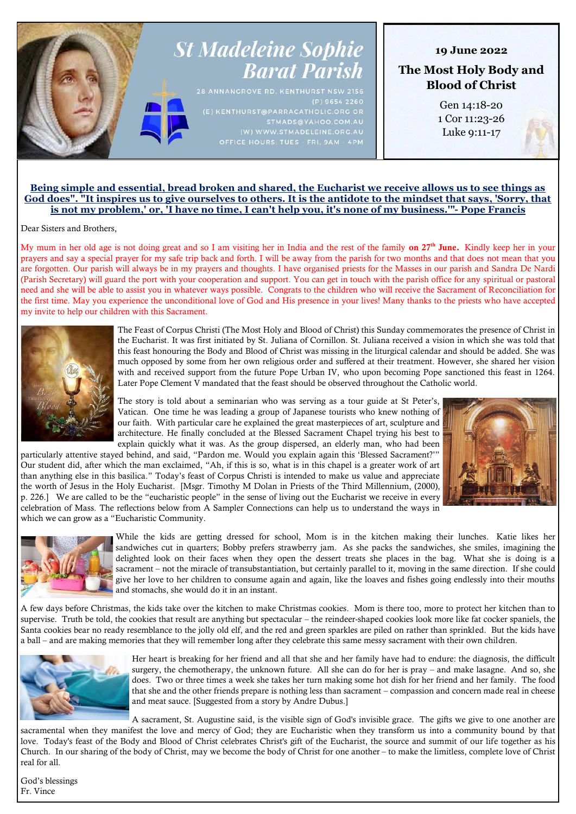# **St Madeleine Sophie Barat Parish**

 $(P)$  9654 2260

# **19 June 2022**

**The Most Holy Body and Blood of Christ**

> Gen 14:18-20 1 Cor 11:23-26 Luke 9:11-17

# **Being simple and essential, bread broken and shared, the Eucharist we receive allows us to see things as God does". "It inspires us to give ourselves to others. It is the antidote to the mindset that says, 'Sorry, that is not my problem,' or, 'I have no time, I can't help you, it's none of my business.'"- Pope Francis**

Dear Sisters and Brothers,

My mum in her old age is not doing great and so I am visiting her in India and the rest of the family **on 27<sup>th</sup> June.** Kindly keep her in your prayers and say a special prayer for my safe trip back and forth. I will be away from the parish for two months and that does not mean that you are forgotten. Our parish will always be in my prayers and thoughts. I have organised priests for the Masses in our parish and Sandra De Nardi (Parish Secretary) will guard the port with your cooperation and support. You can get in touch with the parish office for any spiritual or pastoral need and she will be able to assist you in whatever ways possible. Congrats to the children who will receive the Sacrament of Reconciliation for the first time. May you experience the unconditional love of God and His presence in your lives! Many thanks to the priests who have accepted my invite to help our children with this Sacrament.



The Feast of Corpus Christi (The Most Holy and Blood of Christ) this Sunday commemorates the presence of Christ in the Eucharist. It was first initiated by St. Juliana of Cornillon. St. Juliana received a vision in which she was told that this feast honouring the Body and Blood of Christ was missing in the liturgical calendar and should be added. She was much opposed by some from her own religious order and suffered at their treatment. However, she shared her vision with and received support from the future Pope Urban IV, who upon becoming Pope sanctioned this feast in 1264. Later Pope Clement V mandated that the feast should be observed throughout the Catholic world.

The story is told about a seminarian who was serving as a tour guide at St Peter's, Vatican. One time he was leading a group of Japanese tourists who knew nothing of our faith. With particular care he explained the great masterpieces of art, sculpture and architecture. He finally concluded at the Blessed Sacrament Chapel trying his best to explain quickly what it was. As the group dispersed, an elderly man, who had been

particularly attentive stayed behind, and said, "Pardon me. Would you explain again this 'Blessed Sacrament?'" Our student did, after which the man exclaimed, "Ah, if this is so, what is in this chapel is a greater work of art than anything else in this basilica." Today's feast of Corpus Christi is intended to make us value and appreciate the worth of Jesus in the Holy Eucharist. [Msgr. Timothy M Dolan in Priests of the Third Millennium, (2000), p. 226.] We are called to be the "eucharistic people" in the sense of living out the Eucharist we receive in every celebration of Mass. The reflections below from A Sampler Connections can help us to understand the ways in which we can grow as a "Eucharistic Community.





While the kids are getting dressed for school, Mom is in the kitchen making their lunches. Katie likes her sandwiches cut in quarters; Bobby prefers strawberry jam. As she packs the sandwiches, she smiles, imagining the delighted look on their faces when they open the dessert treats she places in the bag. What she is doing is a sacrament – not the miracle of transubstantiation, but certainly parallel to it, moving in the same direction. If she could give her love to her children to consume again and again, like the loaves and fishes going endlessly into their mouths and stomachs, she would do it in an instant.

A few days before Christmas, the kids take over the kitchen to make Christmas cookies. Mom is there too, more to protect her kitchen than to supervise. Truth be told, the cookies that result are anything but spectacular – the reindeer-shaped cookies look more like fat cocker spaniels, the Santa cookies bear no ready resemblance to the jolly old elf, and the red and green sparkles are piled on rather than sprinkled. But the kids have a ball – and are making memories that they will remember long after they celebrate this same messy sacrament with their own children.



Her heart is breaking for her friend and all that she and her family have had to endure: the diagnosis, the difficult surgery, the chemotherapy, the unknown future. All she can do for her is pray – and make lasagne. And so, she does. Two or three times a week she takes her turn making some hot dish for her friend and her family. The food that she and the other friends prepare is nothing less than sacrament – compassion and concern made real in cheese and meat sauce. [Suggested from a story by Andre Dubus.]

A sacrament, St. Augustine said, is the visible sign of God's invisible grace. The gifts we give to one another are sacramental when they manifest the love and mercy of God; they are Eucharistic when they transform us into a community bound by that love. Today's feast of the Body and Blood of Christ celebrates Christ's gift of the Eucharist, the source and summit of our life together as his Church. In our sharing of the body of Christ, may we become the body of Christ for one another – to make the limitless, complete love of Christ real for all.

God's blessings Fr. Vince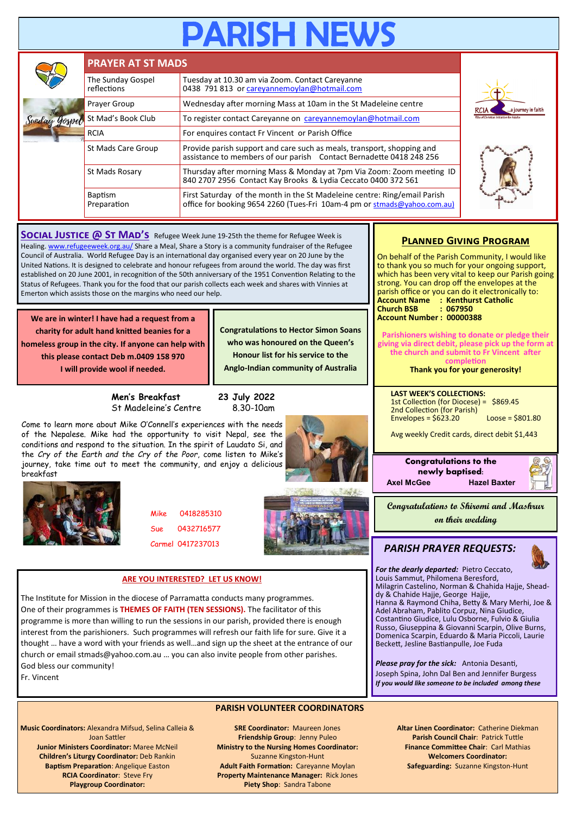# **RISH NE**

|  | <b>PRAYER AT ST MADS</b>                                        |                                                                                                                                                       |  |  |  |
|--|-----------------------------------------------------------------|-------------------------------------------------------------------------------------------------------------------------------------------------------|--|--|--|
|  | The Sunday Gospel<br>reflections                                | Tuesday at 10.30 am via Zoom. Contact Careyanne<br>0438 791 813 or careyannemoylan@hotmail.com                                                        |  |  |  |
|  | Prayer Group                                                    | Wednesday after morning Mass at 10am in the St Madeleine centre                                                                                       |  |  |  |
|  | St Mad's Book Club                                              | To register contact Careyanne on careyannemoylan@hotmail.com                                                                                          |  |  |  |
|  | For enquires contact Fr Vincent or Parish Office<br><b>RCIA</b> |                                                                                                                                                       |  |  |  |
|  | St Mads Care Group                                              | Provide parish support and care such as meals, transport, shopping and<br>assistance to members of our parish Contact Bernadette 0418 248 256         |  |  |  |
|  | St Mads Rosary                                                  | Thursday after morning Mass & Monday at 7pm Via Zoom: Zoom meeting ID<br>840 2707 2956 Contact Kay Brooks & Lydia Ceccato 0400 372 561                |  |  |  |
|  | <b>Baptism</b><br>Preparation                                   | First Saturday of the month in the St Madeleine centre: Ring/email Parish<br>office for booking 9654 2260 (Tues-Fri 10am-4 pm or stmads@yahoo.com.au) |  |  |  |

**SOCIAL JUSTICE @ ST MAD'S** Refugee Week June 19-25th the theme for Refugee Week is Healing. [www.refugeeweek.org.au/](http://www.refugeeweek.org.au/) Share a Meal, Share a Story is a community fundraiser of the Refugee Council of Australia. World Refugee Day is an international day organised every year on 20 June by the United Nations. It is designed to celebrate and honour refugees from around the world. The day was first established on 20 June 2001, in recognition of the 50th anniversary of the 1951 Convention Relating to the Status of Refugees. Thank you for the food that our parish collects each week and shares with Vinnies at Emerton which assists those on the margins who need our help.

**We are in winter! I have had a request from a charity for adult hand knitted beanies for a homeless group in the city. If anyone can help with this please contact Deb m.0409 158 970 I will provide wool if needed.**

> **Men's Breakfast 23 July 2022** St Madeleine's Centre 8.30-10am

Come to learn more about Mike O'Connell's experiences with the needs of the Nepalese. Mike had the opportunity to visit Nepal, see the conditions and respond to the situation. In the spirit of Laudato Si, and the *Cry of the Earth and the Cry of the Poor*, come listen to Mike's journey, take time out to meet the community, and enjoy a delicious



**Congratulations to Hector Simon Soans who was honoured on the Queen's Honour list for his service to the Anglo-Indian community of Australia**



Mike 0418285310 Sue 0432716577 Carmel 0417237013



# **ARE YOU INTERESTED? LET US KNOW!**

The Institute for Mission in the diocese of Parramatta conducts many programmes. One of their programmes is **THEMES OF FAITH (TEN SESSIONS).** The facilitator of this programme is more than willing to run the sessions in our parish, provided there is enough interest from the parishioners. Such programmes will refresh our faith life for sure. Give it a thought … have a word with your friends as well…and sign up the sheet at the entrance of our church or email stmads@yahoo.com.au … you can also invite people from other parishes. God bless our community!

Fr. Vincent

# **PARISH VOLUNTEER COORDINATORS**

**Music Coordinators:** Alexandra Mifsud, Selina Calleia & Joan Sattler **Junior Ministers Coordinator:** Maree McNeil **Children's Liturgy Coordinator:** Deb Rankin **Baptism Preparation**: Angelique Easton **RCIA Coordinator**: Steve Fry **Playgroup Coordinator:** 

**SRE Coordinator:** Maureen Jones **Friendship Group**: Jenny Puleo **Ministry to the Nursing Homes Coordinator:**  Suzanne Kingston-Hunt **Adult Faith Formation:** Careyanne Moylan **Property Maintenance Manager:** Rick Jones **Piety Shop**: Sandra Tabone

# **Planned Giving Program**

On behalf of the Parish Community, I would like to thank you so much for your ongoing support, which has been very vital to keep our Parish going strong. You can drop off the envelopes at the parish office or you can do it electronically to: **Account Name : Kenthurst Catholic Church BSB Account Number : 00000388**

**Parishioners wishing to donate or pledge their giving via direct debit, please pick up the form at the church and submit to Fr Vincent after completion**

**Thank you for your generosity!**

**LAST WEEK'S COLLECTIONS:** 1st Collection (for Diocese) = \$869.45 2nd Collection (for Parish) Envelopes =  $$623.20$  Loose =  $$801.80$ 

Avg weekly Credit cards, direct debit \$1,443





iournev in faith

**Congratulations to Shiromi and Mashrur on their wedding**

# *PARISH PRAYER REQUESTS:*

*For the dearly departed:* Pietro Ceccato, Louis Sammut, Philomena Beresford, Milagrin Castelino, Norman & Chahida Hajje, Sheaddy & Chahide Hajje, George Hajje, Hanna & Raymond Chiha, Betty & Mary Merhi, Joe & Adel Abraham, Pablito Corpuz, Nina Giudice, Costantino Giudice, Lulu Osborne, Fulvio & Giulia Russo, Giuseppina & Giovanni Scarpin, Olive Burns, Domenica Scarpin, Eduardo & Maria Piccoli, Laurie Beckett, Jesline Bastianpulle, Joe Fuda

*Please pray for the sick:* Antonia Desanti, Joseph Spina, John Dal Ben and Jennifer Burgess *If you would like someone to be included among these* 

> **Altar Linen Coordinator:** Catherine Diekman **Parish Council Chair**: Patrick Tuttle **Finance Committee Chair**: Carl Mathias **Welcomers Coordinator: Safeguarding:** Suzanne Kingston-Hunt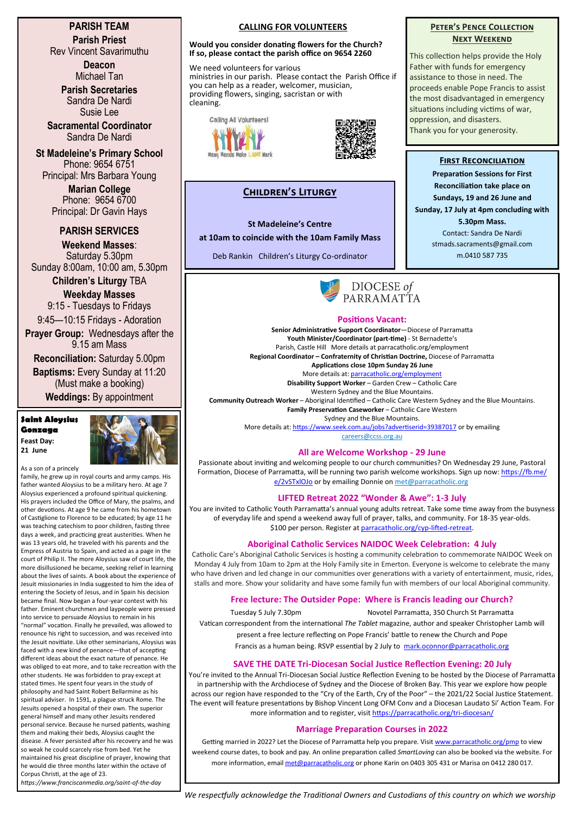# **PARISH TEAM Parish Priest**

Rev Vincent Savarimuthu

**Deacon** Michael Tan

**Parish Secretaries** Sandra De Nardi Susie Lee

**Sacramental Coordinator** Sandra De Nardi

**St Madeleine's Primary School** Phone: 9654 6751 Principal: Mrs Barbara Young

> **Marian College** Phone: 9654 6700 Principal: Dr Gavin Hays

# **PARISH SERVICES**

**Weekend Masses**: Saturday 5.30pm Sunday 8:00am, 10:00 am, 5.30pm

**Children's Liturgy** TBA **Weekday Masses** 

9:15 - Tuesdays to Fridays 9:45—10:15 Fridays - Adoration

**Prayer Group:** Wednesdays after the 9.15 am Mass

**Reconciliation:** Saturday 5.00pm

**Baptisms:** Every Sunday at 11:20 (Must make a booking) **Weddings:** By appointment

**Saint Aloysius Gonzaga Feast Day: 21 June**



As a son of a princely

family, he grew up in royal courts and army camps. His father wanted Aloysius to be a military hero. At age 7 Aloysius experienced a profound spiritual quickening. His prayers included the Office of Mary, the psalms, and other devotions. At age 9 he came from his hometown of Castiglione to Florence to be educated; by age 11 he was teaching catechism to poor children, fasting three days a week, and practicing great austerities. When he was 13 years old, he traveled with his parents and the Empress of Austria to Spain, and acted as a page in the court of Philip II. The more Aloysius saw of court life, the more disillusioned he became, seeking relief in learning about the lives of saints. A book about the experience of Jesuit missionaries in India suggested to him the idea of entering the Society of Jesus, and in Spain his decision became final. Now began a four-year contest with his father. Eminent churchmen and laypeople were pressed into service to persuade Aloysius to remain in his "normal" vocation. Finally he prevailed, was allowed to renounce his right to succession, and was received into the Jesuit novitiate. Like other seminarians, Aloysius was faced with a new kind of penance—that of accepting different ideas about the exact nature of penance. He was obliged to eat more, and to take recreation with the other students. He was forbidden to pray except at stated times. He spent four years in the study of philosophy and had Saint Robert Bellarmine as his spiritual adviser. In 1591, a plague struck Rome. The Jesuits opened a hospital of their own. The superior general himself and many other Jesuits rendered personal service. Because he nursed patients, washing them and making their beds, Aloysius caught the disease. A fever persisted after his recovery and he was so weak he could scarcely rise from bed. Yet he maintained his great discipline of prayer, knowing that he would die three months later within the octave of Corpus Christi, at the age of 23.

*https://www.franciscanmedia.org/saint-of-the-day*

# **CALLING FOR VOLUNTEERS**

#### **Would you consider donating flowers for the Church? If so, please contact the parish office on 9654 2260**

We need volunteers for various ministries in our parish. Please contact the Parish Office if you can help as a reader, welcomer, musician, providing flowers, singing, sacristan or with cleaning.





# **Children's Liturgy**

#### **St Madeleine's Centre**

**at 10am to coincide with the 10am Family Mass**

Deb Rankin Children's Liturgy Co-ordinator



#### **Positions Vacant:**

**Senior Administrative Support Coordinator**—Diocese of Parramatta **Youth Minister/Coordinator (part-time)** - St Bernadette's Parish, Castle Hill More details at parracatholic.org/employment **Regional Coordinator – Confraternity of Christian Doctrine,** Diocese of Parramatta **Applications close 10pm Sunday 26 June** More details at: [parracatholic.org/employment](http://parracatholic.org/employment) **Disability Support Worker** – Garden Crew – Catholic Care Western Sydney and the Blue Mountains. **Community Outreach Worker** – Aboriginal Identified – Catholic Care Western Sydney and the Blue Mountains.

**Family Preservation Caseworker** – Catholic Care Western Sydney and the Blue Mountains.

More details at: <https://www.seek.com.au/jobs?advertiserid=39387017> or by emailing [careers@ccss.org.au](mailto:careers@ccss.org.au)

# **All are Welcome Workshop - 29 June**

Passionate about inviting and welcoming people to our church communities? On Wednesday 29 June, Pastoral Formation, Diocese of Parramatta, will be running two parish welcome workshops. Sign up now: [https://fb.me/](https://fb.me/e/2vSTxlOJo) [e/2vSTxlOJo](https://fb.me/e/2vSTxlOJo) or by emailing Donnie on [met@parracatholic.org](mailto:met@parracatholic.org)

# **LIFTED Retreat 2022 "Wonder & Awe": 1-3 July**

You are invited to Catholic Youth Parramatta's annual young adults retreat. Take some time away from the busyness of everyday life and spend a weekend away full of prayer, talks, and community. For 18-35 year-olds. \$100 per person. Register at [parracatholic.org/cyp](http://parracatholic.org/cyp-lifted-retreat)-lifted-retreat.

# **Aboriginal Catholic Services NAIDOC Week Celebration: 4 July**

Catholic Care's Aboriginal Catholic Services is hosting a community celebration to commemorate NAIDOC Week on Monday 4 July from 10am to 2pm at the Holy Family site in Emerton. Everyone is welcome to celebrate the many who have driven and led change in our communities over generations with a variety of entertainment, music, rides, stalls and more. Show your solidarity and have some family fun with members of our local Aboriginal community.

# **Free lecture: The Outsider Pope: Where is Francis leading our Church?**

Tuesday 5 July 7.30pm Novotel Parramatta, 350 Church St Parramatta Vatican correspondent from the international *The Tablet* magazine, author and speaker Christopher Lamb will present a free lecture reflecting on Pope Francis' battle to renew the Church and Pope

Francis as a human being. RSVP essential by 2 July to <mark.oconnor@parracatholic.org>

#### **SAVE THE DATE Tri-Diocesan Social Justice Reflection Evening: 20 July**

You're invited to the Annual Tri-Diocesan Social Justice Reflection Evening to be hosted by the Diocese of Parramatta in partnership with the Archdiocese of Sydney and the Diocese of Broken Bay. This year we explore how people across our region have responded to the "Cry of the Earth, Cry of the Poor" – the 2021/22 Social Justice Statement. The event will feature presentations by Bishop Vincent Long OFM Conv and a Diocesan Laudato Si' Action Team. For more information and to register, visit [https://parracatholic.org/tri](https://parracatholic.org/tri-diocesan/)-diocesan/

# **Marriage Preparation Courses in 2022**

Getting married in 2022? Let the Diocese of Parramatta help you prepare. Visit [www.parracatholic.org/pmp](http://www.parracatholic.org/pmp) to view weekend course dates, to book and pay. An online preparation called *SmartLoving* can also be booked via the website. For more information, email [met@parracatholic.org](mailto:met@parracatholic.org) or phone Karin on 0403 305 431 or Marisa on 0412 280 017.

# **PETER'S PENCE COLLECTION Next Weekend**

This collection helps provide the Holy Father with funds for emergency assistance to those in need. The proceeds enable Pope Francis to assist the most disadvantaged in emergency situations including victims of war, oppression, and disasters. Thank you for your generosity.

# **First Reconciliation**

**Preparation Sessions for First Reconciliation take place on Sundays, 19 and 26 June and Sunday, 17 July at 4pm concluding with 5.30pm Mass.** Contact: Sandra De Nardi stmads.sacraments@gmail.com m.0410 587 735